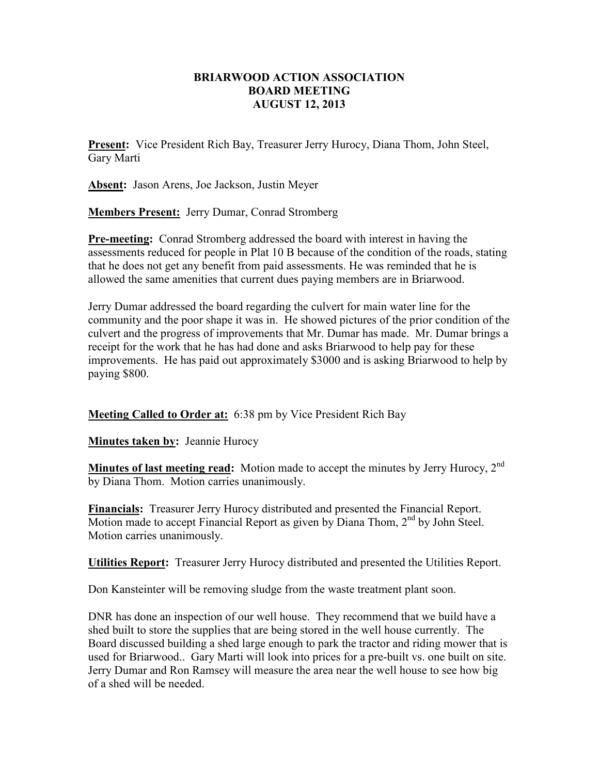## **BRIARWOOD ACTION ASSOCIATION BOARD MEETING AUGUST 12, 2013**

**Present:** Vice President Rich Bay, Treasurer Jerry Hurocy, Diana Thom, John Steel, Gary Marti

**Absent:** Jason Arens, Joe Jackson, Justin Meyer

**Members Present:** Jerry Dumar, Conrad Stromberg

**Pre-meeting:** Conrad Stromberg addressed the board with interest in having the assessments reduced for people in Plat 10 B because of the condition of the roads, stating that he does not get any benefit from paid assessments. He was reminded that he is allowed the same amenities that current dues paying members are in Briarwood.

Jerry Dumar addressed the board regarding the culvert for main water line for the community and the poor shape it was in. He showed pictures of the prior condition of the culvert and the progress of improvements that Mr. Dumar has made. Mr. Dumar brings a receipt for the work that he has had done and asks Briarwood to help pay for these improvements. He has paid out approximately \$3000 and is asking Briarwood to help by paying \$800.

**Meeting Called to Order at:** 6:38 pm by Vice President Rich Bay

**Minutes taken by:** Jeannie Hurocy

**Minutes of last meeting read:** Motion made to accept the minutes by Jerry Hurocy, 2<sup>nd</sup> by Diana Thom. Motion carries unanimously.

**Financials:** Treasurer Jerry Hurocy distributed and presented the Financial Report. Motion made to accept Financial Report as given by Diana Thom, 2<sup>nd</sup> by John Steel. Motion carries unanimously.

**Utilities Report:** Treasurer Jerry Hurocy distributed and presented the Utilities Report.

Don Kansteinter will be removing sludge from the waste treatment plant soon.

DNR has done an inspection of our well house. They recommend that we build have a shed built to store the supplies that are being stored in the well house currently. The Board discussed building a shed large enough to park the tractor and riding mower that is used for Briarwood.. Gary Marti will look into prices for a pre-built vs. one built on site. Jerry Dumar and Ron Ramsey will measure the area near the well house to see how big of a shed will be needed.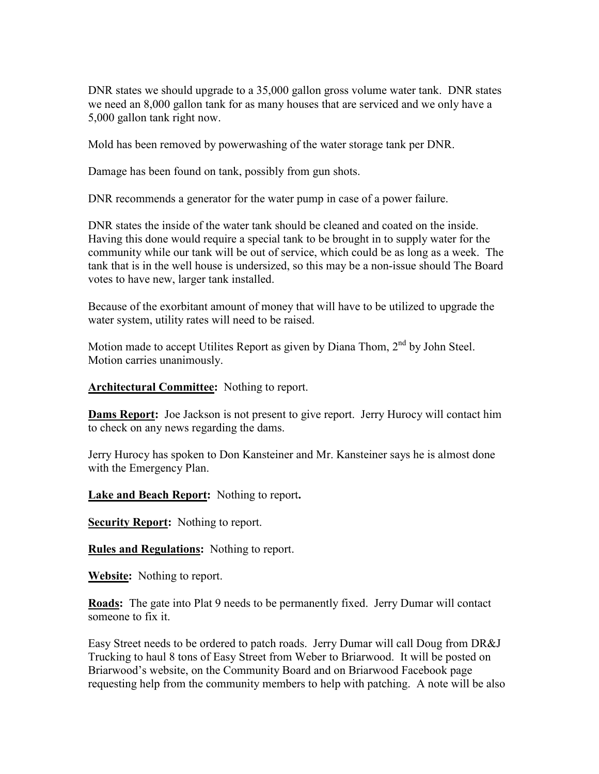DNR states we should upgrade to a 35,000 gallon gross volume water tank. DNR states we need an 8,000 gallon tank for as many houses that are serviced and we only have a 5,000 gallon tank right now.

Mold has been removed by powerwashing of the water storage tank per DNR.

Damage has been found on tank, possibly from gun shots.

DNR recommends a generator for the water pump in case of a power failure.

DNR states the inside of the water tank should be cleaned and coated on the inside. Having this done would require a special tank to be brought in to supply water for the community while our tank will be out of service, which could be as long as a week. The tank that is in the well house is undersized, so this may be a non-issue should The Board votes to have new, larger tank installed.

Because of the exorbitant amount of money that will have to be utilized to upgrade the water system, utility rates will need to be raised.

Motion made to accept Utilites Report as given by Diana Thom, 2<sup>nd</sup> by John Steel. Motion carries unanimously.

**Architectural Committee:** Nothing to report.

**Dams Report:** Joe Jackson is not present to give report. Jerry Hurocy will contact him to check on any news regarding the dams.

Jerry Hurocy has spoken to Don Kansteiner and Mr. Kansteiner says he is almost done with the Emergency Plan.

**Lake and Beach Report:** Nothing to report**.**

**Security Report:** Nothing to report.

**Rules and Regulations:** Nothing to report.

**Website:** Nothing to report.

**Roads:** The gate into Plat 9 needs to be permanently fixed. Jerry Dumar will contact someone to fix it.

Easy Street needs to be ordered to patch roads. Jerry Dumar will call Doug from DR&J Trucking to haul 8 tons of Easy Street from Weber to Briarwood. It will be posted on Briarwood's website, on the Community Board and on Briarwood Facebook page requesting help from the community members to help with patching. A note will be also